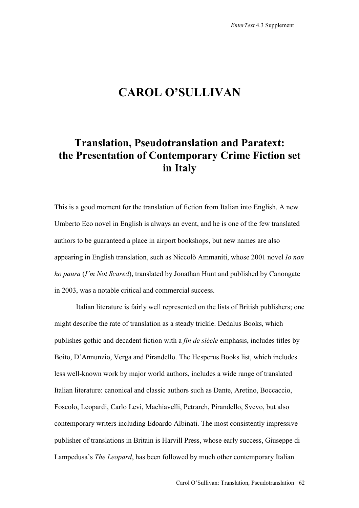## **CAROL O'SULLIVAN**

## **Translation, Pseudotranslation and Paratext: the Presentation of Contemporary Crime Fiction set in Italy**

This is a good moment for the translation of fiction from Italian into English. A new Umberto Eco novel in English is always an event, and he is one of the few translated authors to be guaranteed a place in airport bookshops, but new names are also appearing in English translation, such as Niccolò Ammaniti, whose 2001 novel *Io non ho paura* (*I'm Not Scared*), translated by Jonathan Hunt and published by Canongate in 2003, was a notable critical and commercial success.

Italian literature is fairly well represented on the lists of British publishers; one might describe the rate of translation as a steady trickle. Dedalus Books, which publishes gothic and decadent fiction with a *fin de siècle* emphasis, includes titles by Boito, D'Annunzio, Verga and Pirandello. The Hesperus Books list, which includes less well-known work by major world authors, includes a wide range of translated Italian literature: canonical and classic authors such as Dante, Aretino, Boccaccio, Foscolo, Leopardi, Carlo Levi, Machiavelli, Petrarch, Pirandello, Svevo, but also contemporary writers including Edoardo Albinati. The most consistently impressive publisher of translations in Britain is Harvill Press, whose early success, Giuseppe di Lampedusa's *The Leopard*, has been followed by much other contemporary Italian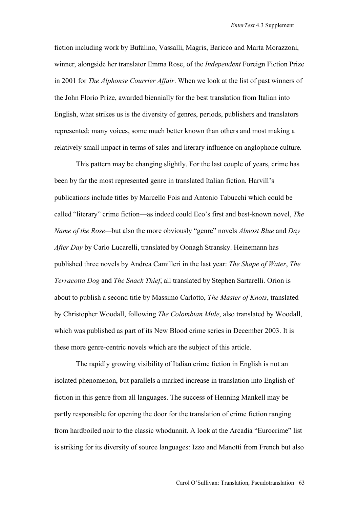fiction including work by Bufalino, Vassalli, Magris, Baricco and Marta Morazzoni, winner, alongside her translator Emma Rose, of the *Independent* Foreign Fiction Prize in 2001 for *The Alphonse Courrier Affair*. When we look at the list of past winners of the John Florio Prize, awarded biennially for the best translation from Italian into English, what strikes us is the diversity of genres, periods, publishers and translators represented: many voices, some much better known than others and most making a relatively small impact in terms of sales and literary influence on anglophone culture.

 This pattern may be changing slightly. For the last couple of years, crime has been by far the most represented genre in translated Italian fiction. Harvill's publications include titles by Marcello Fois and Antonio Tabucchi which could be called "literary" crime fiction—as indeed could Eco's first and best-known novel, *The Name of the Rose—*but also the more obviously "genre" novels *Almost Blue* and *Day After Day* by Carlo Lucarelli, translated by Oonagh Stransky. Heinemann has published three novels by Andrea Camilleri in the last year: *The Shape of Water*, *The Terracotta Dog* and *The Snack Thief*, all translated by Stephen Sartarelli. Orion is about to publish a second title by Massimo Carlotto, *The Master of Knots*, translated by Christopher Woodall, following *The Colombian Mule*, also translated by Woodall, which was published as part of its New Blood crime series in December 2003. It is these more genre-centric novels which are the subject of this article.

The rapidly growing visibility of Italian crime fiction in English is not an isolated phenomenon, but parallels a marked increase in translation into English of fiction in this genre from all languages. The success of Henning Mankell may be partly responsible for opening the door for the translation of crime fiction ranging from hardboiled noir to the classic whodunnit. A look at the Arcadia "Eurocrime" list is striking for its diversity of source languages: Izzo and Manotti from French but also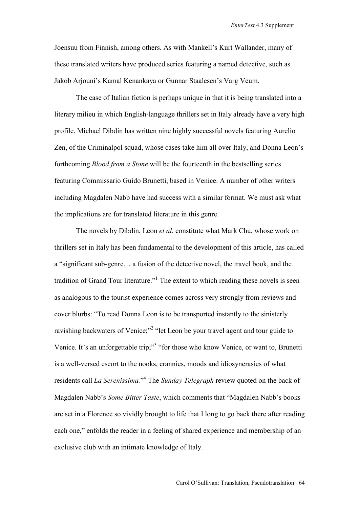Joensuu from Finnish, among others. As with Mankell's Kurt Wallander, many of these translated writers have produced series featuring a named detective, such as Jakob Arjouni's Kamal Kenankaya or Gunnar Staalesen's Varg Veum.

The case of Italian fiction is perhaps unique in that it is being translated into a literary milieu in which English-language thrillers set in Italy already have a very high profile. Michael Dibdin has written nine highly successful novels featuring Aurelio Zen, of the Criminalpol squad, whose cases take him all over Italy, and Donna Leon's forthcoming *Blood from a Stone* will be the fourteenth in the bestselling series featuring Commissario Guido Brunetti, based in Venice. A number of other writers including Magdalen Nabb have had success with a similar format. We must ask what the implications are for translated literature in this genre.

The novels by Dibdin, Leon *et al.* constitute what Mark Chu, whose work on thrillers set in Italy has been fundamental to the development of this article, has called a "significant sub-genre… a fusion of the detective novel, the travel book, and the tradition of Grand Tour literature."<sup>1</sup> The extent to which reading these novels is seen as analogous to the tourist experience comes across very strongly from reviews and cover blurbs: "To read Donna Leon is to be transported instantly to the sinisterly ravishing backwaters of Venice;"<sup>2</sup> "let Leon be your travel agent and tour guide to Venice. It's an unforgettable trip;"<sup>3</sup> "for those who know Venice, or want to, Brunetti is a well-versed escort to the nooks, crannies, moods and idiosyncrasies of what residents call *La Serenissima.*" 4 The *Sunday Telegraph* review quoted on the back of Magdalen Nabb's *Some Bitter Taste*, which comments that "Magdalen Nabb's books are set in a Florence so vividly brought to life that I long to go back there after reading each one," enfolds the reader in a feeling of shared experience and membership of an exclusive club with an intimate knowledge of Italy.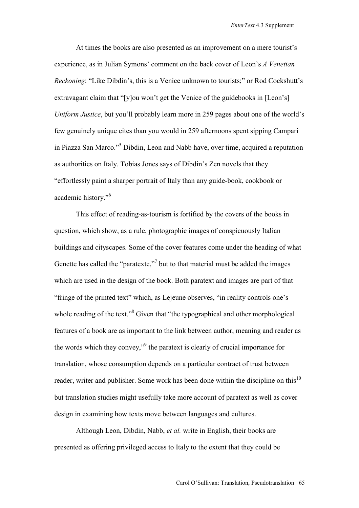At times the books are also presented as an improvement on a mere tourist's experience, as in Julian Symons' comment on the back cover of Leon's *A Venetian Reckoning*: "Like Dibdin's, this is a Venice unknown to tourists;" or Rod Cockshutt's extravagant claim that "[y]ou won't get the Venice of the guidebooks in [Leon's] *Uniform Justice*, but you'll probably learn more in 259 pages about one of the world's few genuinely unique cites than you would in 259 afternoons spent sipping Campari in Piazza San Marco."<sup>5</sup> Dibdin, Leon and Nabb have, over time, acquired a reputation as authorities on Italy. Tobias Jones says of Dibdin's Zen novels that they "effortlessly paint a sharper portrait of Italy than any guide-book, cookbook or academic history."<sup>6</sup>

 This effect of reading-as-tourism is fortified by the covers of the books in question, which show, as a rule, photographic images of conspicuously Italian buildings and cityscapes. Some of the cover features come under the heading of what Genette has called the "paratexte,"<sup>7</sup> but to that material must be added the images which are used in the design of the book. Both paratext and images are part of that "fringe of the printed text" which, as Lejeune observes, "in reality controls one's whole reading of the text."<sup>8</sup> Given that "the typographical and other morphological features of a book are as important to the link between author, meaning and reader as the words which they convey,"<sup>9</sup> the paratext is clearly of crucial importance for translation, whose consumption depends on a particular contract of trust between reader, writer and publisher. Some work has been done within the discipline on this<sup>10</sup> but translation studies might usefully take more account of paratext as well as cover design in examining how texts move between languages and cultures.

Although Leon, Dibdin, Nabb, *et al.* write in English, their books are presented as offering privileged access to Italy to the extent that they could be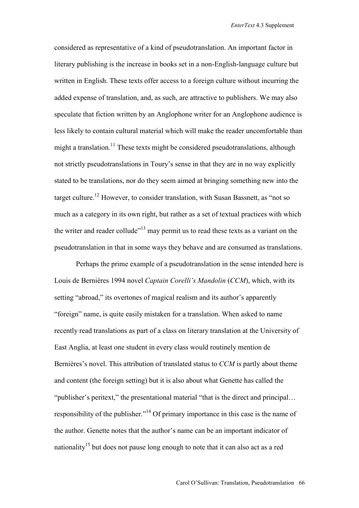considered as representative of a kind of pseudotranslation. An important factor in literary publishing is the increase in books set in a non-English-language culture but written in English. These texts offer access to a foreign culture without incurring the added expense of translation, and, as such, are attractive to publishers. We may also speculate that fiction written by an Anglophone writer for an Anglophone audience is less likely to contain cultural material which will make the reader uncomfortable than might a translation.<sup>11</sup> These texts might be considered pseudotranslations, although not strictly pseudotranslations in Toury's sense in that they are in no way explicitly stated to be translations, nor do they seem aimed at bringing something new into the target culture.12 However, to consider translation, with Susan Bassnett, as "not so much as a category in its own right, but rather as a set of textual practices with which the writer and reader collude"13 may permit us to read these texts as a variant on the pseudotranslation in that in some ways they behave and are consumed as translations.

Perhaps the prime example of a pseudotranslation in the sense intended here is Louis de Bernières 1994 novel *Captain Corelli's Mandolin* (*CCM*), which, with its setting "abroad," its overtones of magical realism and its author's apparently "foreign" name, is quite easily mistaken for a translation. When asked to name recently read translations as part of a class on literary translation at the University of East Anglia, at least one student in every class would routinely mention de Bernières's novel. This attribution of translated status to *CCM* is partly about theme and content (the foreign setting) but it is also about what Genette has called the "publisher's peritext," the presentational material "that is the direct and principal… responsibility of the publisher."14 Of primary importance in this case is the name of the author. Genette notes that the author's name can be an important indicator of nationality<sup>15</sup> but does not pause long enough to note that it can also act as a red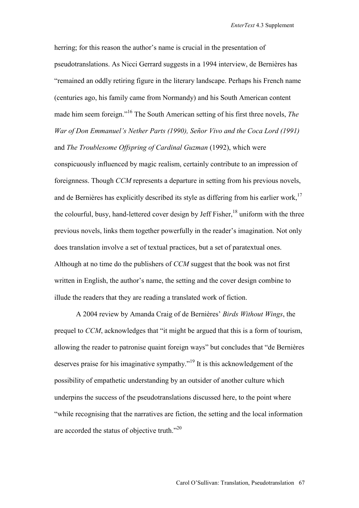herring; for this reason the author's name is crucial in the presentation of pseudotranslations. As Nicci Gerrard suggests in a 1994 interview, de Bernières has "remained an oddly retiring figure in the literary landscape. Perhaps his French name (centuries ago, his family came from Normandy) and his South American content made him seem foreign."16 The South American setting of his first three novels, *The War of Don Emmanuel's Nether Parts (1990), Señor Vivo and the Coca Lord (1991)*  and *The Troublesome Offspring of Cardinal Guzman* (1992), which were conspicuously influenced by magic realism, certainly contribute to an impression of foreignness. Though *CCM* represents a departure in setting from his previous novels, and de Bernières has explicitly described its style as differing from his earlier work,<sup>17</sup> the colourful, busy, hand-lettered cover design by Jeff Fisher,  $^{18}$  uniform with the three previous novels, links them together powerfully in the reader's imagination. Not only does translation involve a set of textual practices, but a set of paratextual ones. Although at no time do the publishers of *CCM* suggest that the book was not first written in English, the author's name, the setting and the cover design combine to illude the readers that they are reading a translated work of fiction.

A 2004 review by Amanda Craig of de Bernières' *Birds Without Wings*, the prequel to *CCM*, acknowledges that "it might be argued that this is a form of tourism, allowing the reader to patronise quaint foreign ways" but concludes that "de Bernières deserves praise for his imaginative sympathy."19 It is this acknowledgement of the possibility of empathetic understanding by an outsider of another culture which underpins the success of the pseudotranslations discussed here, to the point where "while recognising that the narratives are fiction, the setting and the local information are accorded the status of objective truth."20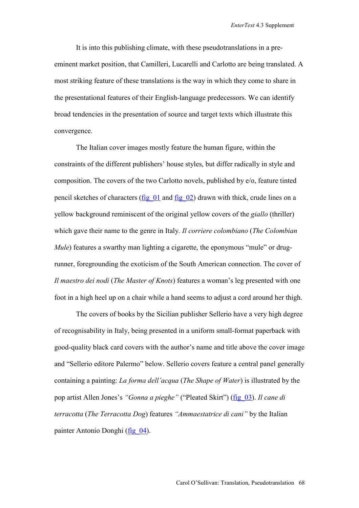It is into this publishing climate, with these pseudotranslations in a preeminent market position, that Camilleri, Lucarelli and Carlotto are being translated. A most striking feature of these translations is the way in which they come to share in the presentational features of their English-language predecessors. We can identify broad tendencies in the presentation of source and target texts which illustrate this convergence.

The Italian cover images mostly feature the human figure, within the constraints of the different publishers' house styles, but differ radically in style and composition. The covers of the two Carlotto novels, published by e/o, feature tinted pencil sketches of characters (fig. 01 and fig. 02) drawn with thick, crude lines on a yellow background reminiscent of the original yellow covers of the *giallo* (thriller) which gave their name to the genre in Italy. *Il corriere colombiano* (*The Colombian Mule*) features a swarthy man lighting a cigarette, the eponymous "mule" or drugrunner, foregrounding the exoticism of the South American connection. The cover of *Il maestro dei nodi* (*The Master of Knots*) features a woman's leg presented with one foot in a high heel up on a chair while a hand seems to adjust a cord around her thigh.

The covers of books by the Sicilian publisher Sellerio have a very high degree of recognisability in Italy, being presented in a uniform small-format paperback with good-quality black card covers with the author's name and title above the cover image and "Sellerio editore Palermo" below. Sellerio covers feature a central panel generally containing a painting: *La forma dell'acqua* (*The Shape of Water*) is illustrated by the pop artist Allen Jones's *"Gonna a pieghe"* ("Pleated Skirt") [\(fig\\_03\)](http://www.brunel.ac.uk/faculty/arts/EnterText/4_3/figures/pages/fig_03.htm). *Il cane di terracotta* (*The Terracotta Dog*) features *"Ammaestatrice di cani"* by the Italian painter Antonio Donghi ([fig\\_04\)](http://www.brunel.ac.uk/faculty/arts/EnterText/4_3/figures/pages/fig_04.htm).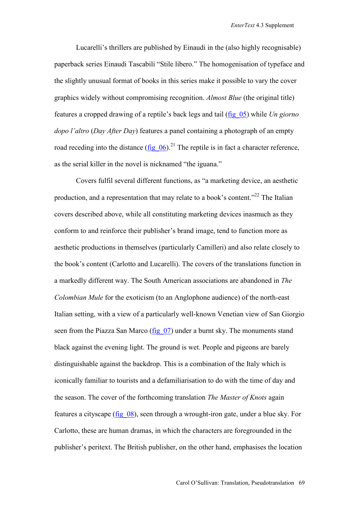Lucarelli's thrillers are published by Einaudi in the (also highly recognisable) paperback series Einaudi Tascabili "Stile libero." The homogenisation of typeface and the slightly unusual format of books in this series make it possible to vary the cover graphics widely without compromising recognition. *Almost Blue* (the original title) features a cropped drawing of a reptile's back legs and tail [\(fig\\_05\)](http://www.brunel.ac.uk/faculty/arts/EnterText/4_3/figures/pages/fig_05.htm) while *Un giorno dopo l'altro* (*Day After Day*) features a panel containing a photograph of an empty road receding into the distance (fig  $06$ ).<sup>21</sup> The reptile is in fact a character reference, as the serial killer in the novel is nicknamed "the iguana."

Covers fulfil several different functions, as "a marketing device, an aesthetic production, and a representation that may relate to a book's content."22 The Italian covers described above, while all constituting marketing devices inasmuch as they conform to and reinforce their publisher's brand image, tend to function more as aesthetic productions in themselves (particularly Camilleri) and also relate closely to the book's content (Carlotto and Lucarelli). The covers of the translations function in a markedly different way. The South American associations are abandoned in *The Colombian Mule* for the exoticism (to an Anglophone audience) of the north-east Italian setting, with a view of a particularly well-known Venetian view of San Giorgio seen from the Piazza San Marco (fig 07) under a burnt sky. The monuments stand black against the evening light. The ground is wet. People and pigeons are barely distinguishable against the backdrop. This is a combination of the Italy which is iconically familiar to tourists and a defamiliarisation to do with the time of day and the season. The cover of the forthcoming translation *The Master of Knots* again features a cityscape [\(fig\\_08\)](http://www.brunel.ac.uk/faculty/arts/EnterText/4_3/figures/pages/fig_08.htm), seen through a wrought-iron gate, under a blue sky. For Carlotto, these are human dramas, in which the characters are foregrounded in the publisher's peritext. The British publisher, on the other hand, emphasises the location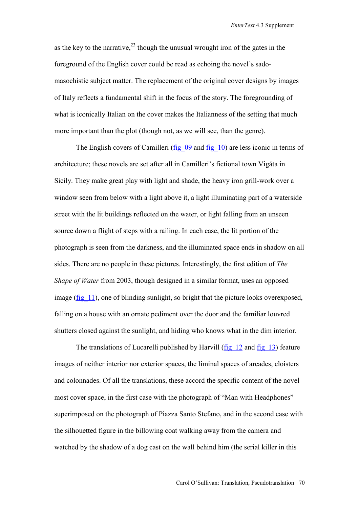as the key to the narrative,  $^{23}$  though the unusual wrought iron of the gates in the foreground of the English cover could be read as echoing the novel's sadomasochistic subject matter. The replacement of the original cover designs by images of Italy reflects a fundamental shift in the focus of the story. The foregrounding of what is iconically Italian on the cover makes the Italianness of the setting that much more important than the plot (though not, as we will see, than the genre).

The English covers of Camilleri (fig. 09 and fig. 10) are less iconic in terms of architecture; these novels are set after all in Camilleri's fictional town Vigáta in Sicily. They make great play with light and shade, the heavy iron grill-work over a window seen from below with a light above it, a light illuminating part of a waterside street with the lit buildings reflected on the water, or light falling from an unseen source down a flight of steps with a railing. In each case, the lit portion of the photograph is seen from the darkness, and the illuminated space ends in shadow on all sides. There are no people in these pictures. Interestingly, the first edition of *The Shape of Water* from 2003, though designed in a similar format, uses an opposed image (fig 11), one of blinding sunlight, so bright that the picture looks overexposed, falling on a house with an ornate pediment over the door and the familiar louvred shutters closed against the sunlight, and hiding who knows what in the dim interior.

The translations of Lucarelli published by Harvill (fig. 12 and fig. 13) feature images of neither interior nor exterior spaces, the liminal spaces of arcades, cloisters and colonnades. Of all the translations, these accord the specific content of the novel most cover space, in the first case with the photograph of "Man with Headphones" superimposed on the photograph of Piazza Santo Stefano, and in the second case with the silhouetted figure in the billowing coat walking away from the camera and watched by the shadow of a dog cast on the wall behind him (the serial killer in this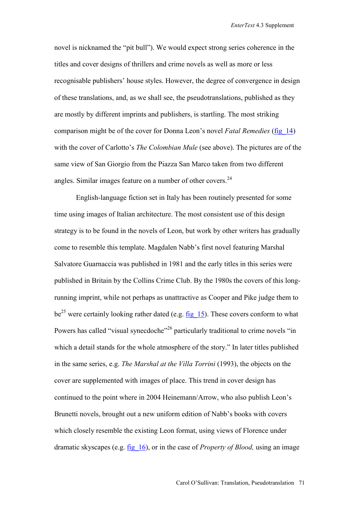novel is nicknamed the "pit bull"). We would expect strong series coherence in the titles and cover designs of thrillers and crime novels as well as more or less recognisable publishers' house styles. However, the degree of convergence in design of these translations, and, as we shall see, the pseudotranslations, published as they are mostly by different imprints and publishers, is startling. The most striking comparison might be of the cover for Donna Leon's novel *Fatal Remedies* [\(fig\\_14\)](http://www.brunel.ac.uk/faculty/arts/EnterText/4_3/figures/pages/fig_14.htm) with the cover of Carlotto's *The Colombian Mule* (see above). The pictures are of the same view of San Giorgio from the Piazza San Marco taken from two different angles. Similar images feature on a number of other covers.  $24$ 

English-language fiction set in Italy has been routinely presented for some time using images of Italian architecture. The most consistent use of this design strategy is to be found in the novels of Leon, but work by other writers has gradually come to resemble this template. Magdalen Nabb's first novel featuring Marshal Salvatore Guarnaccia was published in 1981 and the early titles in this series were published in Britain by the Collins Crime Club. By the 1980s the covers of this longrunning imprint, while not perhaps as unattractive as Cooper and Pike judge them to be<sup>25</sup> were certainly looking rather dated (e.g.  $\underline{fig}$  15). These covers conform to what Powers has called "visual synecdoche"<sup>26</sup> particularly traditional to crime novels "in which a detail stands for the whole atmosphere of the story." In later titles published in the same series, e.g. *The Marshal at the Villa Torrini* (1993), the objects on the cover are supplemented with images of place. This trend in cover design has continued to the point where in 2004 Heinemann/Arrow, who also publish Leon's Brunetti novels, brought out a new uniform edition of Nabb's books with covers which closely resemble the existing Leon format, using views of Florence under dramatic skyscapes (e.g. [fig\\_16\)](http://www.brunel.ac.uk/faculty/arts/EnterText/4_3/figures/pages/fig_16.htm), or in the case of *Property of Blood,* using an image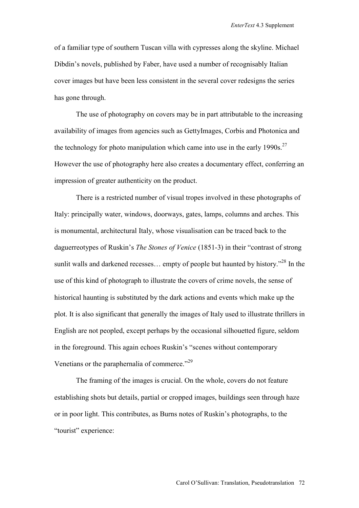of a familiar type of southern Tuscan villa with cypresses along the skyline. Michael Dibdin's novels, published by Faber, have used a number of recognisably Italian cover images but have been less consistent in the several cover redesigns the series has gone through.

The use of photography on covers may be in part attributable to the increasing availability of images from agencies such as GettyImages, Corbis and Photonica and the technology for photo manipulation which came into use in the early  $1990s$ <sup>27</sup> However the use of photography here also creates a documentary effect, conferring an impression of greater authenticity on the product.

There is a restricted number of visual tropes involved in these photographs of Italy: principally water, windows, doorways, gates, lamps, columns and arches. This is monumental, architectural Italy, whose visualisation can be traced back to the daguerreotypes of Ruskin's *The Stones of Venice* (1851-3) in their "contrast of strong sunlit walls and darkened recesses... empty of people but haunted by history.<sup> $28$ </sup> In the use of this kind of photograph to illustrate the covers of crime novels, the sense of historical haunting is substituted by the dark actions and events which make up the plot. It is also significant that generally the images of Italy used to illustrate thrillers in English are not peopled, except perhaps by the occasional silhouetted figure, seldom in the foreground. This again echoes Ruskin's "scenes without contemporary Venetians or the paraphernalia of commerce."<sup>29</sup>

The framing of the images is crucial. On the whole, covers do not feature establishing shots but details, partial or cropped images, buildings seen through haze or in poor light. This contributes, as Burns notes of Ruskin's photographs, to the "tourist" experience: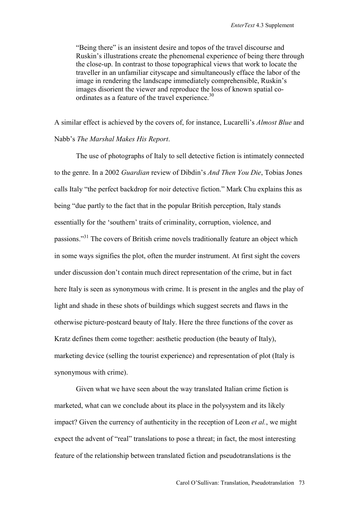"Being there" is an insistent desire and topos of the travel discourse and Ruskin's illustrations create the phenomenal experience of being there through the close-up. In contrast to those topographical views that work to locate the traveller in an unfamiliar cityscape and simultaneously efface the labor of the image in rendering the landscape immediately comprehensible, Ruskin's images disorient the viewer and reproduce the loss of known spatial coordinates as a feature of the travel experience.<sup>30</sup>

A similar effect is achieved by the covers of, for instance, Lucarelli's *Almost Blue* and Nabb's *The Marshal Makes His Report*.

The use of photographs of Italy to sell detective fiction is intimately connected to the genre. In a 2002 *Guardian* review of Dibdin's *And Then You Die*, Tobias Jones calls Italy "the perfect backdrop for noir detective fiction." Mark Chu explains this as being "due partly to the fact that in the popular British perception, Italy stands essentially for the 'southern' traits of criminality, corruption, violence, and passions."31 The covers of British crime novels traditionally feature an object which in some ways signifies the plot, often the murder instrument. At first sight the covers under discussion don't contain much direct representation of the crime, but in fact here Italy is seen as synonymous with crime. It is present in the angles and the play of light and shade in these shots of buildings which suggest secrets and flaws in the otherwise picture-postcard beauty of Italy. Here the three functions of the cover as Kratz defines them come together: aesthetic production (the beauty of Italy), marketing device (selling the tourist experience) and representation of plot (Italy is synonymous with crime).

Given what we have seen about the way translated Italian crime fiction is marketed, what can we conclude about its place in the polysystem and its likely impact? Given the currency of authenticity in the reception of Leon *et al.*, we might expect the advent of "real" translations to pose a threat; in fact, the most interesting feature of the relationship between translated fiction and pseudotranslations is the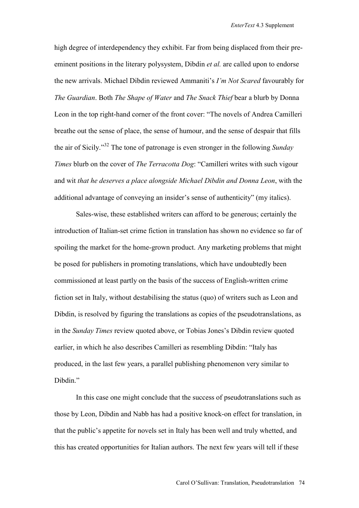high degree of interdependency they exhibit. Far from being displaced from their preeminent positions in the literary polysystem, Dibdin *et al.* are called upon to endorse the new arrivals. Michael Dibdin reviewed Ammaniti's *I'm Not Scared* favourably for *The Guardian*. Both *The Shape of Water* and *The Snack Thief* bear a blurb by Donna Leon in the top right-hand corner of the front cover: "The novels of Andrea Camilleri breathe out the sense of place, the sense of humour, and the sense of despair that fills the air of Sicily."32 The tone of patronage is even stronger in the following *Sunday Times* blurb on the cover of *The Terracotta Dog*: "Camilleri writes with such vigour and wit *that he deserves a place alongside Michael Dibdin and Donna Leon*, with the additional advantage of conveying an insider's sense of authenticity" (my italics).

Sales-wise, these established writers can afford to be generous; certainly the introduction of Italian-set crime fiction in translation has shown no evidence so far of spoiling the market for the home-grown product. Any marketing problems that might be posed for publishers in promoting translations, which have undoubtedly been commissioned at least partly on the basis of the success of English-written crime fiction set in Italy, without destabilising the status (quo) of writers such as Leon and Dibdin, is resolved by figuring the translations as copies of the pseudotranslations, as in the *Sunday Times* review quoted above, or Tobias Jones's Dibdin review quoted earlier, in which he also describes Camilleri as resembling Dibdin: "Italy has produced, in the last few years, a parallel publishing phenomenon very similar to Dibdin<sup>"</sup>

In this case one might conclude that the success of pseudotranslations such as those by Leon, Dibdin and Nabb has had a positive knock-on effect for translation, in that the public's appetite for novels set in Italy has been well and truly whetted, and this has created opportunities for Italian authors. The next few years will tell if these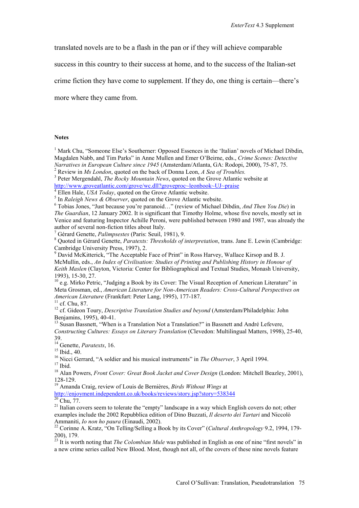translated novels are to be a flash in the pan or if they will achieve comparable

success in this country to their success at home, and to the success of the Italian-set

crime fiction they have come to supplement. If they do, one thing is certain—there's

more where they came from.

## **Notes**

<sup>1</sup> Mark Chu, "Someone Else's Southerner: Opposed Essences in the 'Italian' novels of Michael Dibdin, Magdalen Nabb, and Tim Parks" in Anne Mullen and Emer O'Beirne, eds., *Crime Scenes: Detective Narratives in European Culture since 1945* (Amsterdam/Atlanta, GA: Rodopi, 2000), 75-87, 75. 2

Review in *Ms London*, quoted on the back of Donna Leon, *A Sea of Troubles.* <sup>3</sup>

<sup>3</sup> Peter Mergendahl, *The Rocky Mountain News*, quoted on the Grove Atlantic website at http://www.groveatlantic.com/grove/wc.dll?groveproc~leonbook~UJ~praise

 $^{4}$  Ellen Hale, *USA Today*, quoted on the Grove Atlantic website.

<sup>5</sup> In *Raleigh News & Observer*, quoted on the Grove Atlantic website.

 Tobias Jones, "Just because you're paranoid…" (review of Michael Dibdin, *And Then You Die*) in *The Guardian*, 12 January 2002. It is significant that Timothy Holme, whose five novels, mostly set in Venice and featuring Inspector Achille Peroni, were published between 1980 and 1987, was already the author of several non-fiction titles about Italy.

<sup>7</sup> Gérard Genette, *Palimpsestes* (Paris: Seuil, 1981), 9.<br><sup>8</sup> Oueted in Gérard Genette, *Paratenta: Thugshalds of i* 

<sup>8</sup> Ouoted in Gérard Genette, *Paratexts: Thresholds of interpretation*, trans. Jane E. Lewin (Cambridge: Cambridge University Press, 1997), 2.

<sup>9</sup> David McKitterick, "The Acceptable Face of Print" in Ross Harvey, Wallace Kirsop and B. J. McMullin, eds., *An Index of Civilisation: Studies of Printing and Publishing History in Honour of Keith Maslen* (Clayton, Victoria: Center for Bibliographical and Textual Studies, Monash University, 1993), 15-30, 27.

<sup>10</sup> e.g. Mirko Petric, "Judging a Book by its Cover: The Visual Reception of American Literature" in Meta Grosman, ed., *American Literature for Non-American Readers: Cross-Cultural Perspectives on American Literature* (Frankfurt: Peter Lang, 1995), 177-187. 11 cf. Chu, 87.

<sup>12</sup> cf. Gideon Toury, *Descriptive Translation Studies and beyond* (Amsterdam/Philadelphia: John Benjamins, 1995), 40-41.

<sup>13</sup> Susan Bassnett, "When is a Translation Not a Translation?" in Bassnett and André Lefevere, *Constructing Cultures: Essays on Literary Translation* (Clevedon: Multilingual Matters, 1998), 25-40, 39.

<sup>14</sup> Genette, *Paratexts*, 16.<br><sup>15</sup> Ibid., 40.

<sup>16</sup> Nicci Gerrard, "A soldier and his musical instruments" in *The Observer*, 3 April 1994.<br><sup>17</sup> Ibid.

<sup>18</sup> Alan Powers, *Front Cover: Great Book Jacket and Cover Design* (London: Mitchell Beazley, 2001), 128-129.

19 Amanda Craig, review of Louis de Bernières, *Birds Without Wings* at

http://enjoyment.independent.co.uk/books/reviews/story.jsp?story=538344

Chu, 77.

<sup>21</sup> Italian covers seem to tolerate the "empty" landscape in a way which English covers do not; other examples include the 2002 Repubblica edition of Dino Buzzati, *Il deserto dei Tartari* and Niccolò Ammaniti, *Io non ho paura* (Einaudi, 2002). 22 Corinne A. Kratz, "On Telling/Selling a Book by its Cover" (*Cultural Anthropology* 9.2, 1994, 179-

200), 179.

<sup>23</sup> It is worth noting that *The Colombian Mule* was published in English as one of nine "first novels" in a new crime series called New Blood. Most, though not all, of the covers of these nine novels feature